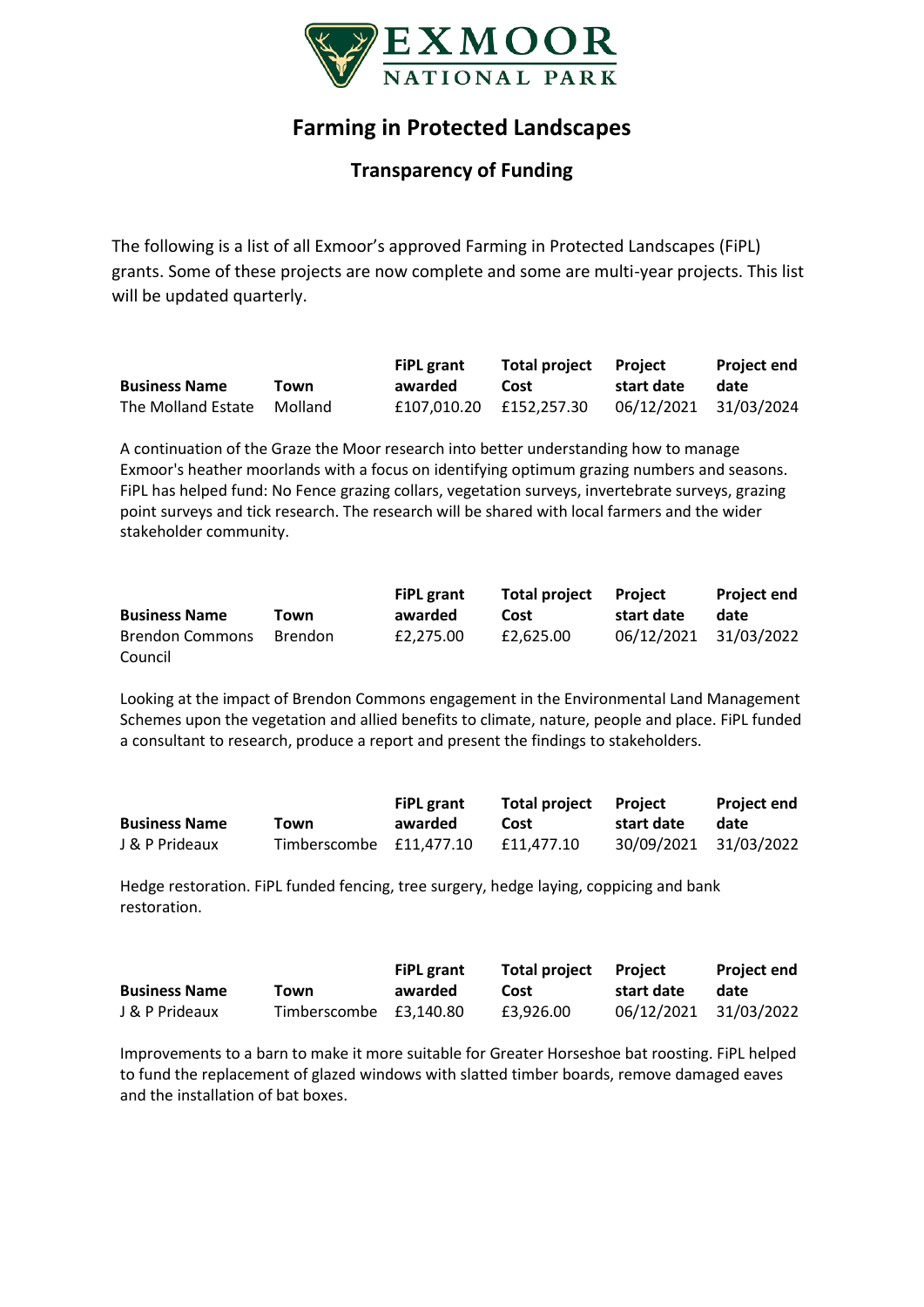

## **Farming in Protected Landscapes**

## **Transparency of Funding**

The following is a list of all Exmoor's approved Farming in Protected Landscapes (FiPL) grants. Some of these projects are now complete and some are multi-year projects. This list will be updated quarterly.

|                            |      | <b>FiPL</b> grant       | Total project Project |                       | <b>Proiect end</b> |
|----------------------------|------|-------------------------|-----------------------|-----------------------|--------------------|
| <b>Business Name</b>       | Town | awarded                 | Cost                  | start date            | date               |
| The Molland Estate Molland |      | £107.010.20 £152.257.30 |                       | 06/12/2021 31/03/2024 |                    |

A continuation of the Graze the Moor research into better understanding how to manage Exmoor's heather moorlands with a focus on identifying optimum grazing numbers and seasons. FiPL has helped fund: No Fence grazing collars, vegetation surveys, invertebrate surveys, grazing point surveys and tick research. The research will be shared with local farmers and the wider stakeholder community.

| <b>Business Name</b> | Town | <b>FiPL</b> grant<br>awarded | Total project<br>Cost | <b>Project</b><br>start date | <b>Project end</b><br>date |
|----------------------|------|------------------------------|-----------------------|------------------------------|----------------------------|
|                      |      |                              |                       |                              |                            |
| Council              |      |                              |                       |                              |                            |

Looking at the impact of Brendon Commons engagement in the Environmental Land Management Schemes upon the vegetation and allied benefits to climate, nature, people and place. FiPL funded a consultant to research, produce a report and present the findings to stakeholders.

|                      |                         | <b>FiPL</b> grant | Total project Project |                       | <b>Project end</b> |
|----------------------|-------------------------|-------------------|-----------------------|-----------------------|--------------------|
| <b>Business Name</b> | Town                    | awarded           | Cost                  | start date            | date               |
| J & P Prideaux       | Timberscombe £11.477.10 |                   | £11.477.10            | 30/09/2021 31/03/2022 |                    |

Hedge restoration. FiPL funded fencing, tree surgery, hedge laying, coppicing and bank restoration.

|                      |                        | <b>FiPL</b> grant | Total project Project |                       | <b>Project end</b> |
|----------------------|------------------------|-------------------|-----------------------|-----------------------|--------------------|
| <b>Business Name</b> | Town                   | awarded           | Cost                  | start date            | date               |
| J & P Prideaux       | Timberscombe £3,140.80 |                   | £3.926.00             | 06/12/2021 31/03/2022 |                    |

Improvements to a barn to make it more suitable for Greater Horseshoe bat roosting. FiPL helped to fund the replacement of glazed windows with slatted timber boards, remove damaged eaves and the installation of bat boxes.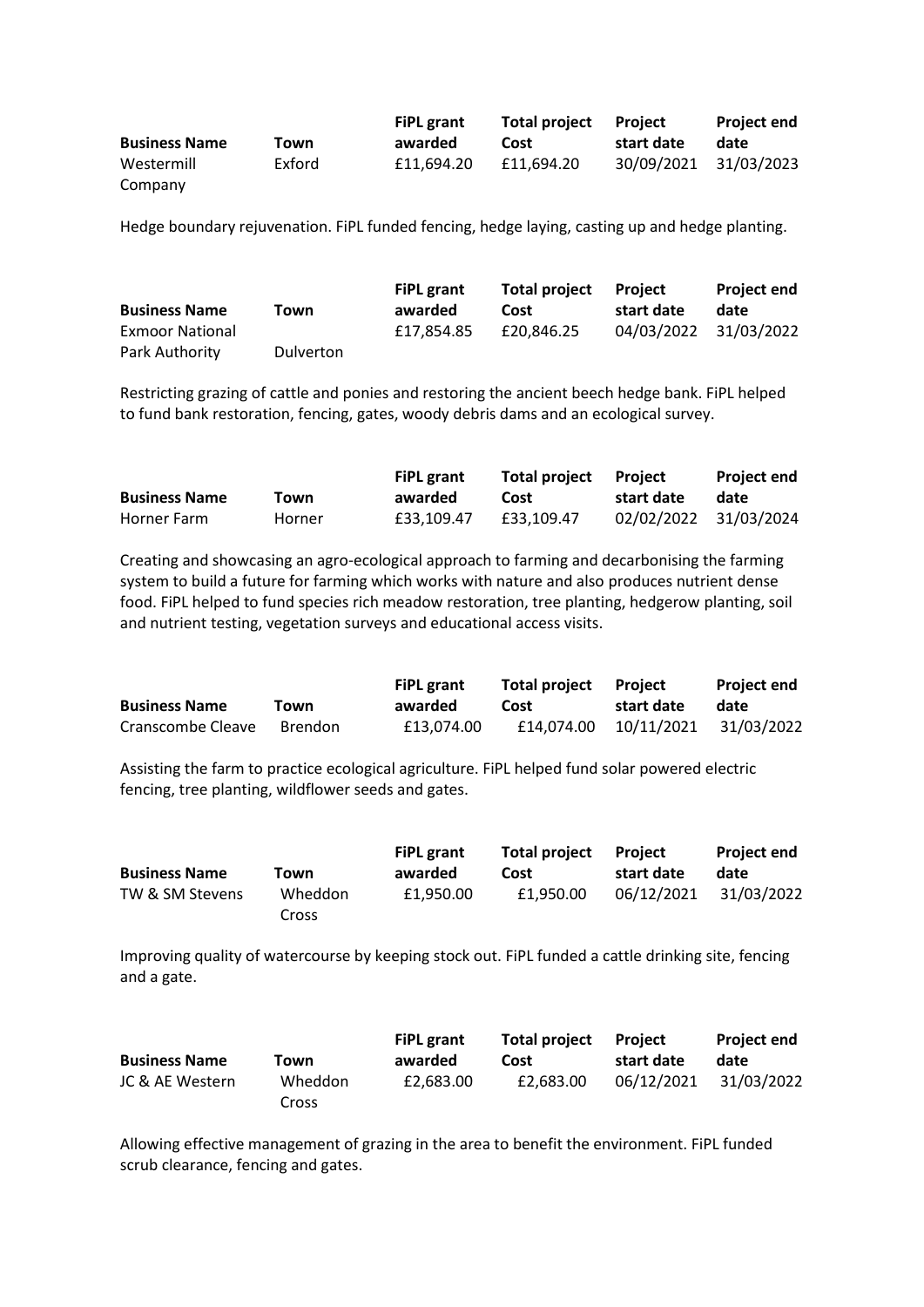|                      |        | <b>FiPL</b> grant | Total project | Proiect    | <b>Project end</b>    |
|----------------------|--------|-------------------|---------------|------------|-----------------------|
| <b>Business Name</b> | Town   | awarded           | Cost          | start date | date                  |
| Westermill           | Exford | £11.694.20        | £11.694.20    |            | 30/09/2021 31/03/2023 |
| Company              |        |                   |               |            |                       |

Hedge boundary rejuvenation. FiPL funded fencing, hedge laying, casting up and hedge planting.

|                        |                  | <b>FiPL</b> grant | <b>Total project</b> | Proiect    | <b>Project end</b>    |
|------------------------|------------------|-------------------|----------------------|------------|-----------------------|
| <b>Business Name</b>   | Town             | awarded           | Cost                 | start date | date                  |
| <b>Exmoor National</b> |                  | £17.854.85        | £20.846.25           |            | 04/03/2022 31/03/2022 |
| Park Authority         | <b>Dulverton</b> |                   |                      |            |                       |

Restricting grazing of cattle and ponies and restoring the ancient beech hedge bank. FiPL helped to fund bank restoration, fencing, gates, woody debris dams and an ecological survey.

|                      |        | <b>FiPL</b> grant | Total project Project |                       | <b>Project end</b> |
|----------------------|--------|-------------------|-----------------------|-----------------------|--------------------|
| <b>Business Name</b> | Town   | awarded           | Cost                  | start date            | date               |
| Horner Farm          | Horner | £33.109.47        | £33.109.47            | 02/02/2022 31/03/2024 |                    |

Creating and showcasing an agro-ecological approach to farming and decarbonising the farming system to build a future for farming which works with nature and also produces nutrient dense food. FiPL helped to fund species rich meadow restoration, tree planting, hedgerow planting, soil and nutrient testing, vegetation surveys and educational access visits.

| <b>Business Name</b> |         | <b>FiPL</b> grant | Total project Project |                                    | <b>Project end</b> |
|----------------------|---------|-------------------|-----------------------|------------------------------------|--------------------|
|                      | Town    | awarded           | Cost                  | start date                         | date               |
| Cranscombe Cleave    | Brendon | £13.074.00        |                       | £14,074.00  10/11/2021  31/03/2022 |                    |

Assisting the farm to practice ecological agriculture. FiPL helped fund solar powered electric fencing, tree planting, wildflower seeds and gates.

|         | <b>FiPL</b> grant | <b>Total project</b> | <b>Project</b> | <b>Project end</b> |
|---------|-------------------|----------------------|----------------|--------------------|
| Town    | awarded           | Cost                 | start date     | date               |
| Wheddon | £1.950.00         | £1.950.00            | 06/12/2021     | 31/03/2022         |
|         | Cross             |                      |                |                    |

Improving quality of watercourse by keeping stock out. FiPL funded a cattle drinking site, fencing and a gate.

|                      |         | <b>FiPL</b> grant | <b>Total project</b> | Proiect    | <b>Project end</b> |
|----------------------|---------|-------------------|----------------------|------------|--------------------|
| <b>Business Name</b> | Town    | awarded           | Cost                 | start date | date               |
| JC & AE Western      | Wheddon | £2.683.00         | £2.683.00            | 06/12/2021 | 31/03/2022         |
|                      | Cross   |                   |                      |            |                    |

Allowing effective management of grazing in the area to benefit the environment. FiPL funded scrub clearance, fencing and gates.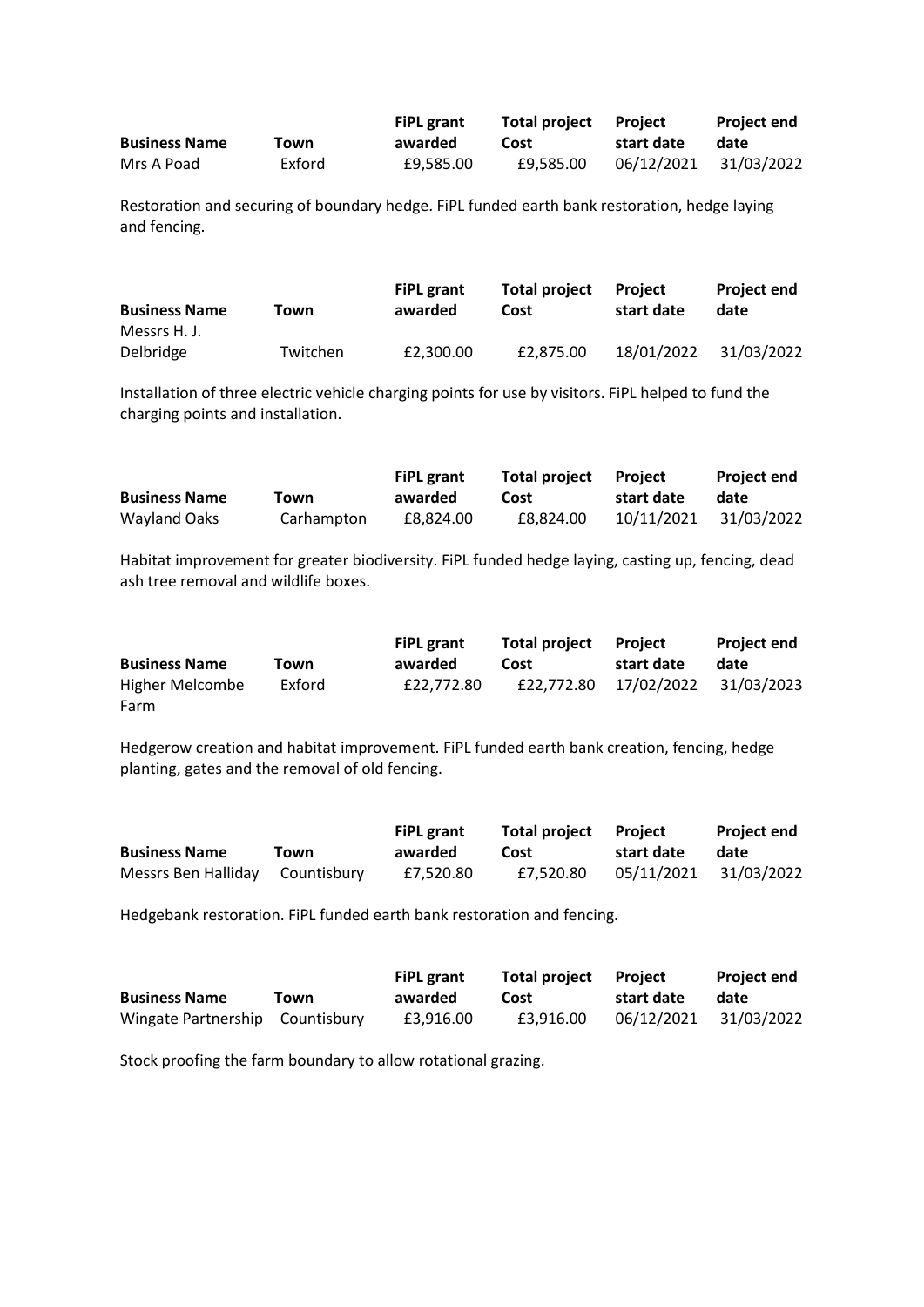|                      |        | <b>FiPL</b> grant | <b>Total project</b> Project |            | <b>Project end</b>    |
|----------------------|--------|-------------------|------------------------------|------------|-----------------------|
| <b>Business Name</b> | Town   | awarded           | Cost                         | start date | date                  |
| Mrs A Poad           | Exford | £9.585.00         | £9.585.00                    |            | 06/12/2021 31/03/2022 |

Restoration and securing of boundary hedge. FiPL funded earth bank restoration, hedge laying and fencing.

| <b>Business Name</b> | Town     | <b>FiPL</b> grant<br>awarded | <b>Total project</b><br>Cost | Project<br>start date | <b>Project end</b><br>date |
|----------------------|----------|------------------------------|------------------------------|-----------------------|----------------------------|
| Messrs H. J.         |          |                              |                              |                       |                            |
| Delbridge            | Twitchen | £2.300.00                    | £2,875.00                    | 18/01/2022            | 31/03/2022                 |

Installation of three electric vehicle charging points for use by visitors. FiPL helped to fund the charging points and installation.

|                      |            | <b>FiPL</b> grant | Total project Project |            | <b>Project end</b> |
|----------------------|------------|-------------------|-----------------------|------------|--------------------|
| <b>Business Name</b> | Town       | awarded           | Cost                  | start date | date               |
| Wayland Oaks         | Carhampton | £8.824.00         | £8.824.00             | 10/11/2021 | 31/03/2022         |

Habitat improvement for greater biodiversity. FiPL funded hedge laying, casting up, fencing, dead ash tree removal and wildlife boxes.

|                      |        | <b>FiPL</b> grant | <b>Total project</b> | <b>Project</b>                   | <b>Project end</b> |
|----------------------|--------|-------------------|----------------------|----------------------------------|--------------------|
| <b>Business Name</b> | Town   | awarded           | Cost                 | start date                       | date               |
| Higher Melcombe      | Exford | £22,772.80        |                      | £22,772.80 17/02/2022 31/03/2023 |                    |
| Farm                 |        |                   |                      |                                  |                    |

Hedgerow creation and habitat improvement. FiPL funded earth bank creation, fencing, hedge planting, gates and the removal of old fencing.

|                                 |      | <b>FiPL</b> grant | Total project Project |                       | <b>Project end</b> |
|---------------------------------|------|-------------------|-----------------------|-----------------------|--------------------|
| <b>Business Name</b>            | Town | awarded           | Cost                  | start date            | date               |
| Messrs Ben Halliday Countisbury |      | £7.520.80         | £7.520.80             | 05/11/2021 31/03/2022 |                    |

Hedgebank restoration. FiPL funded earth bank restoration and fencing.

|                                 |      | <b>FiPL</b> grant | Total project Project |            | <b>Project end</b>    |
|---------------------------------|------|-------------------|-----------------------|------------|-----------------------|
| <b>Business Name</b>            | Town | awarded           | Cost                  | start date | date                  |
| Wingate Partnership Countisbury |      | £3.916.00         | £3.916.00             |            | 06/12/2021 31/03/2022 |

Stock proofing the farm boundary to allow rotational grazing.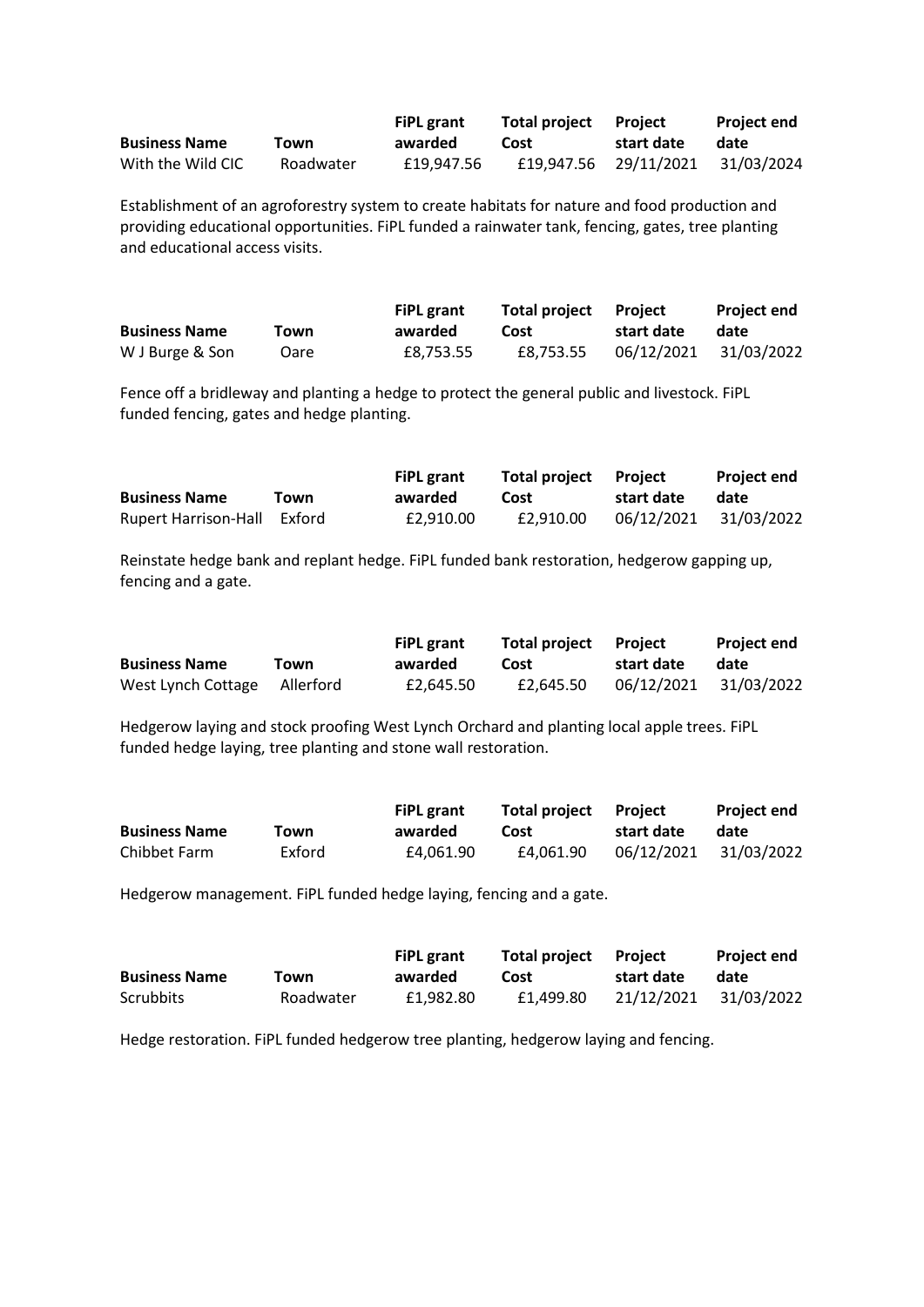|                      |           | <b>FiPL grant</b> | <b>Total project</b> Project |                                  | <b>Project end</b> |
|----------------------|-----------|-------------------|------------------------------|----------------------------------|--------------------|
| <b>Business Name</b> | Town      | awarded           | Cost                         | start date                       | date               |
| With the Wild CIC    | Roadwater | £19.947.56        |                              | £19,947.56 29/11/2021 31/03/2024 |                    |

Establishment of an agroforestry system to create habitats for nature and food production and providing educational opportunities. FiPL funded a rainwater tank, fencing, gates, tree planting and educational access visits.

|                      |      | <b>FiPL</b> grant | <b>Total project</b> Project |            | <b>Project end</b>    |
|----------------------|------|-------------------|------------------------------|------------|-----------------------|
| <b>Business Name</b> | Town | awarded           | Cost                         | start date | date                  |
| W J Burge & Son      | Oare | £8.753.55         | £8.753.55                    |            | 06/12/2021 31/03/2022 |

Fence off a bridleway and planting a hedge to protect the general public and livestock. FiPL funded fencing, gates and hedge planting.

|                             |      | <b>FiPL grant</b> | <b>Total project</b> Project |            | <b>Project end</b>    |
|-----------------------------|------|-------------------|------------------------------|------------|-----------------------|
| <b>Business Name</b>        | Town | awarded           | Cost                         | start date | date                  |
| Rupert Harrison-Hall Exford |      | £2.910.00         | £2.910.00                    |            | 06/12/2021 31/03/2022 |

Reinstate hedge bank and replant hedge. FiPL funded bank restoration, hedgerow gapping up, fencing and a gate.

|                              |      | <b>FiPL</b> grant | <b>Total project Project</b> |            | <b>Project end</b>    |
|------------------------------|------|-------------------|------------------------------|------------|-----------------------|
| <b>Business Name</b>         | Town | awarded           | Cost                         | start date | date                  |
| West Lynch Cottage Allerford |      | £2.645.50         | £2.645.50                    |            | 06/12/2021 31/03/2022 |

Hedgerow laying and stock proofing West Lynch Orchard and planting local apple trees. FiPL funded hedge laying, tree planting and stone wall restoration.

|                      |        | <b>FiPL</b> grant | <b>Total project</b> | Proiect    | <b>Project end</b>    |
|----------------------|--------|-------------------|----------------------|------------|-----------------------|
| <b>Business Name</b> | Town   | awarded           | Cost                 | start date | date                  |
| Chibbet Farm         | Exford | £4.061.90         | £4.061.90            |            | 06/12/2021 31/03/2022 |

Hedgerow management. FiPL funded hedge laying, fencing and a gate.

|                      |           | Total project Project<br><b>FiPL grant</b> |           | <b>Project end</b>    |      |
|----------------------|-----------|--------------------------------------------|-----------|-----------------------|------|
| <b>Business Name</b> | Town      | awarded                                    | Cost      | start date            | date |
| Scrubbits            | Roadwater | £1.982.80                                  | £1.499.80 | 21/12/2021 31/03/2022 |      |

Hedge restoration. FiPL funded hedgerow tree planting, hedgerow laying and fencing.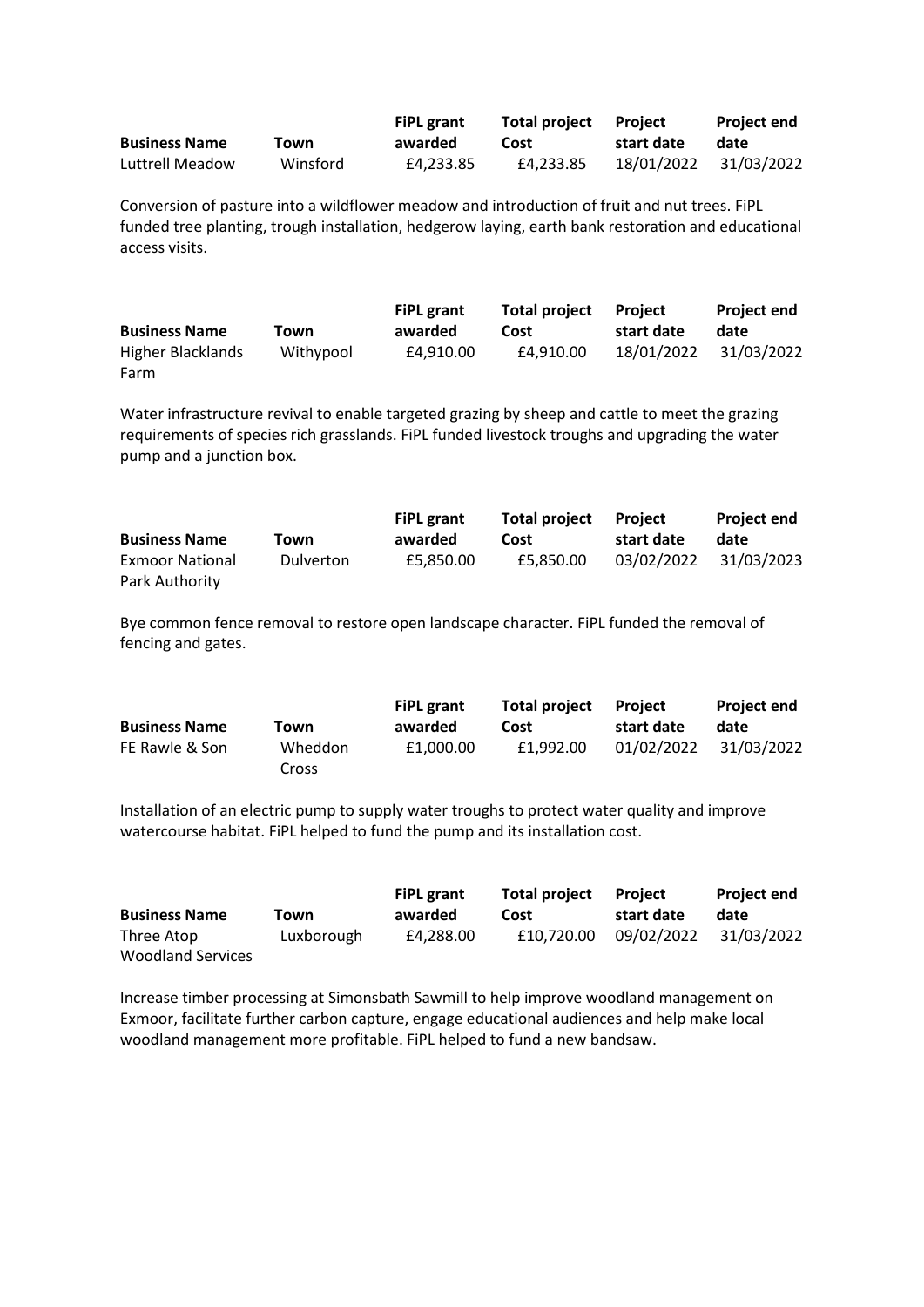|                      |          | <b>FiPL</b> grant | <b>Total project</b> Project |            | <b>Project end</b>    |
|----------------------|----------|-------------------|------------------------------|------------|-----------------------|
| <b>Business Name</b> | Town     | awarded           | Cost                         | start date | date                  |
| Luttrell Meadow      | Winsford | £4.233.85         | £4.233.85                    |            | 18/01/2022 31/03/2022 |

Conversion of pasture into a wildflower meadow and introduction of fruit and nut trees. FiPL funded tree planting, trough installation, hedgerow laying, earth bank restoration and educational access visits.

|                      |           | <b>FiPL</b> grant | <b>Total project</b> | <b>Project</b> | <b>Project end</b> |
|----------------------|-----------|-------------------|----------------------|----------------|--------------------|
| <b>Business Name</b> | Town      | awarded           | Cost                 | start date     | date               |
| Higher Blacklands    | Withypool | £4.910.00         | £4.910.00            | 18/01/2022     | 31/03/2022         |
| Farm                 |           |                   |                      |                |                    |

Water infrastructure revival to enable targeted grazing by sheep and cattle to meet the grazing requirements of species rich grasslands. FiPL funded livestock troughs and upgrading the water pump and a junction box.

|                        |                  | <b>FiPL</b> grant | Total project | <b>Project</b> | <b>Project end</b> |
|------------------------|------------------|-------------------|---------------|----------------|--------------------|
| <b>Business Name</b>   | Town             | awarded           | Cost          | start date     | date               |
| <b>Exmoor National</b> | <b>Dulverton</b> | £5.850.00         | £5.850.00     | 03/02/2022     | 31/03/2023         |
| Park Authority         |                  |                   |               |                |                    |

Bye common fence removal to restore open landscape character. FiPL funded the removal of fencing and gates.

|                      |         | <b>FiPL</b> grant | <b>Total project</b> | Project    | <b>Project end</b> |
|----------------------|---------|-------------------|----------------------|------------|--------------------|
| <b>Business Name</b> | Town    | awarded           | Cost                 | start date | date               |
| FE Rawle & Son       | Wheddon | £1,000.00         | £1.992.00            | 01/02/2022 | 31/03/2022         |
|                      | Cross   |                   |                      |            |                    |

Installation of an electric pump to supply water troughs to protect water quality and improve watercourse habitat. FiPL helped to fund the pump and its installation cost.

|                          |            | <b>FiPL</b> grant | <b>Total project</b> | Proiect    | <b>Project end</b> |
|--------------------------|------------|-------------------|----------------------|------------|--------------------|
| <b>Business Name</b>     | Town       | awarded           | Cost                 | start date | date               |
| Three Atop               | Luxborough | £4.288.00         | £10.720.00           | 09/02/2022 | 31/03/2022         |
| <b>Woodland Services</b> |            |                   |                      |            |                    |

Increase timber processing at Simonsbath Sawmill to help improve woodland management on Exmoor, facilitate further carbon capture, engage educational audiences and help make local woodland management more profitable. FiPL helped to fund a new bandsaw.